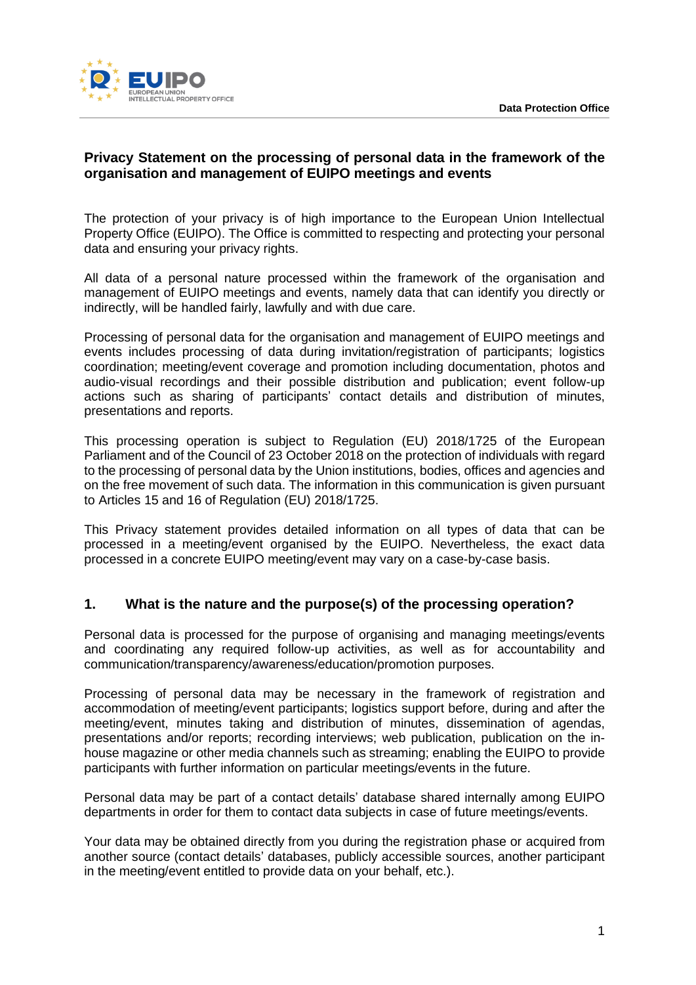

# **Privacy Statement on the processing of personal data in the framework of the organisation and management of EUIPO meetings and events**

The protection of your privacy is of high importance to the European Union Intellectual Property Office (EUIPO). The Office is committed to respecting and protecting your personal data and ensuring your privacy rights.

All data of a personal nature processed within the framework of the organisation and management of EUIPO meetings and events, namely data that can identify you directly or indirectly, will be handled fairly, lawfully and with due care.

Processing of personal data for the organisation and management of EUIPO meetings and events includes processing of data during invitation/registration of participants; logistics coordination; meeting/event coverage and promotion including documentation, photos and audio-visual recordings and their possible distribution and publication; event follow-up actions such as sharing of participants' contact details and distribution of minutes, presentations and reports.

This processing operation is subject to Regulation (EU) 2018/1725 of the European Parliament and of the Council of 23 October 2018 on the protection of individuals with regard to the processing of personal data by the Union institutions, bodies, offices and agencies and on the free movement of such data. The information in this communication is given pursuant to Articles 15 and 16 of Regulation (EU) 2018/1725.

This Privacy statement provides detailed information on all types of data that can be processed in a meeting/event organised by the EUIPO. Nevertheless, the exact data processed in a concrete EUIPO meeting/event may vary on a case-by-case basis.

#### **1. What is the nature and the purpose(s) of the processing operation?**

Personal data is processed for the purpose of organising and managing meetings/events and coordinating any required follow-up activities, as well as for accountability and communication/transparency/awareness/education/promotion purposes.

Processing of personal data may be necessary in the framework of registration and accommodation of meeting/event participants; logistics support before, during and after the meeting/event, minutes taking and distribution of minutes, dissemination of agendas, presentations and/or reports; recording interviews; web publication, publication on the inhouse magazine or other media channels such as streaming; enabling the EUIPO to provide participants with further information on particular meetings/events in the future.

Personal data may be part of a contact details' database shared internally among EUIPO departments in order for them to contact data subjects in case of future meetings/events.

Your data may be obtained directly from you during the registration phase or acquired from another source (contact details' databases, publicly accessible sources, another participant in the meeting/event entitled to provide data on your behalf, etc.).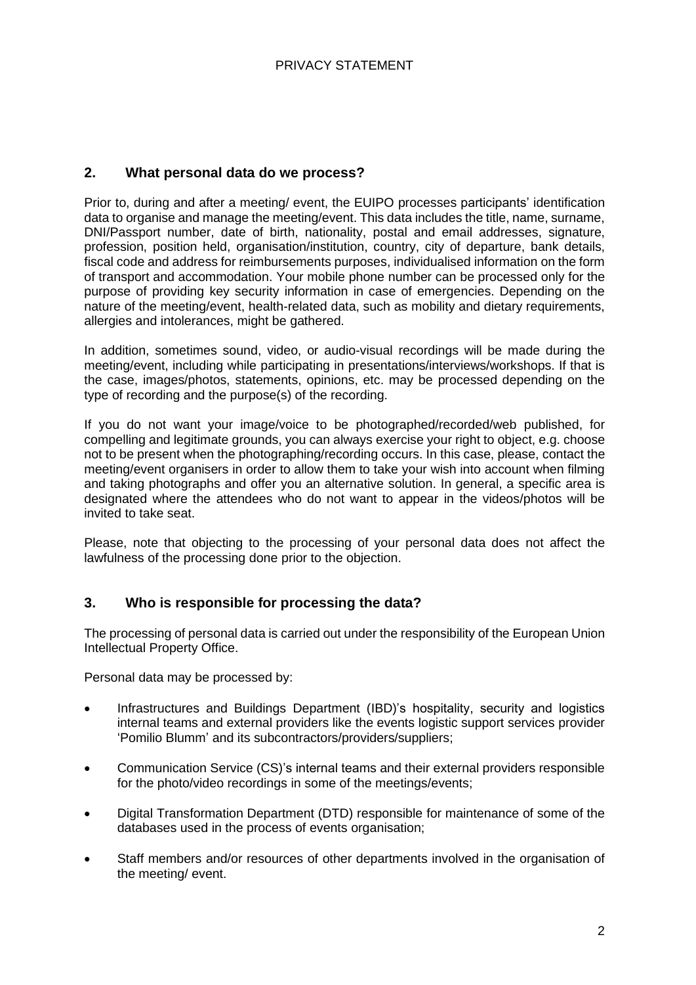## **2. What personal data do we process?**

Prior to, during and after a meeting/ event, the EUIPO processes participants' identification data to organise and manage the meeting/event. This data includes the title, name, surname, DNI/Passport number, date of birth, nationality, postal and email addresses, signature, profession, position held, organisation/institution, country, city of departure, bank details, fiscal code and address for reimbursements purposes, individualised information on the form of transport and accommodation. Your mobile phone number can be processed only for the purpose of providing key security information in case of emergencies. Depending on the nature of the meeting/event, health-related data, such as mobility and dietary requirements, allergies and intolerances, might be gathered.

In addition, sometimes sound, video, or audio-visual recordings will be made during the meeting/event, including while participating in presentations/interviews/workshops. If that is the case, images/photos, statements, opinions, etc. may be processed depending on the type of recording and the purpose(s) of the recording.

If you do not want your image/voice to be photographed/recorded/web published, for compelling and legitimate grounds, you can always exercise your right to object, e.g. choose not to be present when the photographing/recording occurs. In this case, please, contact the meeting/event organisers in order to allow them to take your wish into account when filming and taking photographs and offer you an alternative solution. In general, a specific area is designated where the attendees who do not want to appear in the videos/photos will be invited to take seat.

Please, note that objecting to the processing of your personal data does not affect the lawfulness of the processing done prior to the objection.

## **3. Who is responsible for processing the data?**

The processing of personal data is carried out under the responsibility of the European Union Intellectual Property Office.

Personal data may be processed by:

- Infrastructures and Buildings Department (IBD)'s hospitality, security and logistics internal teams and external providers like the events logistic support services provider 'Pomilio Blumm' and its subcontractors/providers/suppliers;
- Communication Service (CS)'s internal teams and their external providers responsible for the photo/video recordings in some of the meetings/events;
- Digital Transformation Department (DTD) responsible for maintenance of some of the databases used in the process of events organisation;
- Staff members and/or resources of other departments involved in the organisation of the meeting/ event.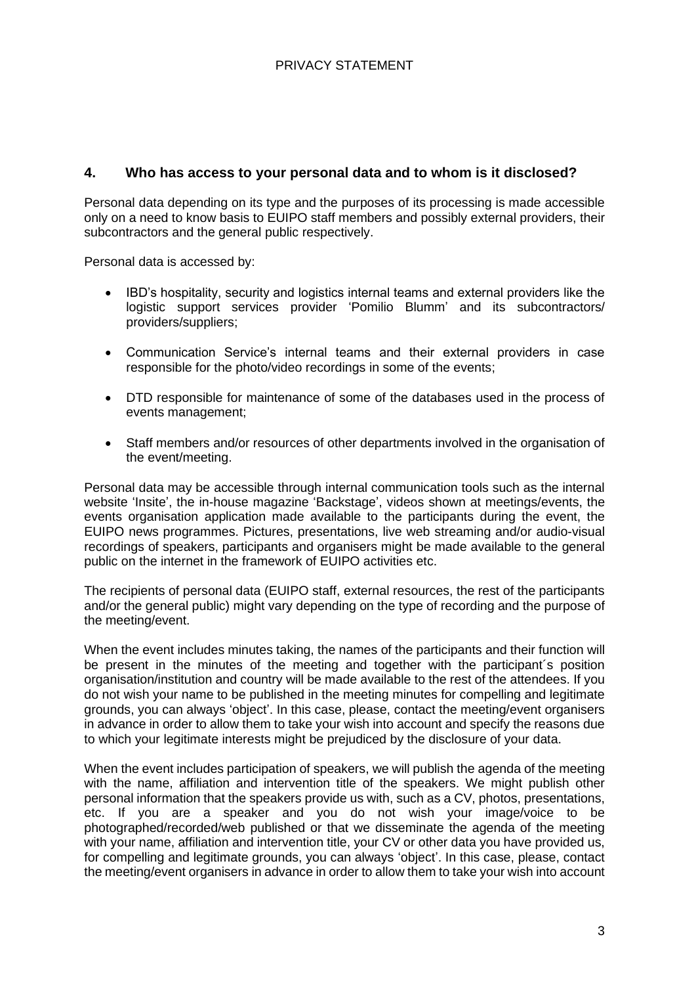### **4. Who has access to your personal data and to whom is it disclosed?**

Personal data depending on its type and the purposes of its processing is made accessible only on a need to know basis to EUIPO staff members and possibly external providers, their subcontractors and the general public respectively.

Personal data is accessed by:

- IBD's hospitality, security and logistics internal teams and external providers like the logistic support services provider 'Pomilio Blumm' and its subcontractors/ providers/suppliers;
- Communication Service's internal teams and their external providers in case responsible for the photo/video recordings in some of the events;
- DTD responsible for maintenance of some of the databases used in the process of events management;
- Staff members and/or resources of other departments involved in the organisation of the event/meeting.

Personal data may be accessible through internal communication tools such as the internal website 'Insite', the in-house magazine 'Backstage', videos shown at meetings/events, the events organisation application made available to the participants during the event, the EUIPO news programmes. Pictures, presentations, live web streaming and/or audio-visual recordings of speakers, participants and organisers might be made available to the general public on the internet in the framework of EUIPO activities etc.

The recipients of personal data (EUIPO staff, external resources, the rest of the participants and/or the general public) might vary depending on the type of recording and the purpose of the meeting/event.

When the event includes minutes taking, the names of the participants and their function will be present in the minutes of the meeting and together with the participant´s position organisation/institution and country will be made available to the rest of the attendees. If you do not wish your name to be published in the meeting minutes for compelling and legitimate grounds, you can always 'object'. In this case, please, contact the meeting/event organisers in advance in order to allow them to take your wish into account and specify the reasons due to which your legitimate interests might be prejudiced by the disclosure of your data.

When the event includes participation of speakers, we will publish the agenda of the meeting with the name, affiliation and intervention title of the speakers. We might publish other personal information that the speakers provide us with, such as a CV, photos, presentations, etc. If you are a speaker and you do not wish your image/voice to be photographed/recorded/web published or that we disseminate the agenda of the meeting with your name, affiliation and intervention title, your CV or other data you have provided us, for compelling and legitimate grounds, you can always 'object'. In this case, please, contact the meeting/event organisers in advance in order to allow them to take your wish into account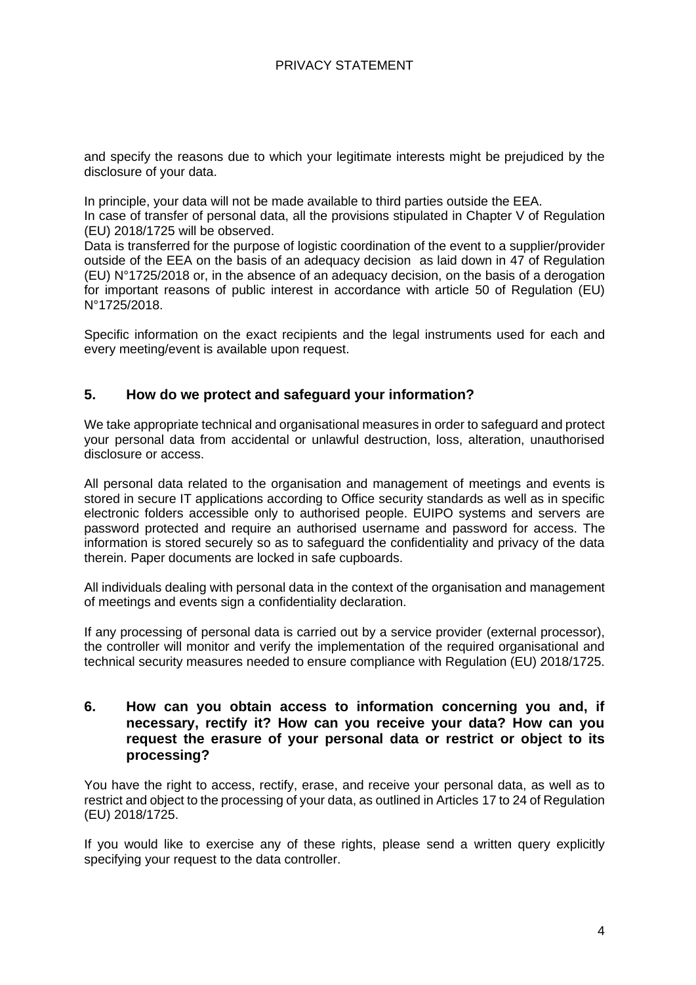and specify the reasons due to which your legitimate interests might be prejudiced by the disclosure of your data.

In principle, your data will not be made available to third parties outside the EEA. In case of transfer of personal data, all the provisions stipulated in Chapter V of Regulation (EU) 2018/1725 will be observed.

Data is transferred for the purpose of logistic coordination of the event to a supplier/provider outside of the EEA on the basis of an adequacy decision as laid down in 47 of Regulation (EU) N°1725/2018 or, in the absence of an adequacy decision, on the basis of a derogation for important reasons of public interest in accordance with article 50 of Regulation (EU) N°1725/2018.

Specific information on the exact recipients and the legal instruments used for each and every meeting/event is available upon request.

### **5. How do we protect and safeguard your information?**

We take appropriate technical and organisational measures in order to safeguard and protect your personal data from accidental or unlawful destruction, loss, alteration, unauthorised disclosure or access.

All personal data related to the organisation and management of meetings and events is stored in secure IT applications according to Office security standards as well as in specific electronic folders accessible only to authorised people. EUIPO systems and servers are password protected and require an authorised username and password for access. The information is stored securely so as to safeguard the confidentiality and privacy of the data therein. Paper documents are locked in safe cupboards.

All individuals dealing with personal data in the context of the organisation and management of meetings and events sign a confidentiality declaration.

If any processing of personal data is carried out by a service provider (external processor), the controller will monitor and verify the implementation of the required organisational and technical security measures needed to ensure compliance with Regulation (EU) 2018/1725.

### **6. How can you obtain access to information concerning you and, if necessary, rectify it? How can you receive your data? How can you request the erasure of your personal data or restrict or object to its processing?**

You have the right to access, rectify, erase, and receive your personal data, as well as to restrict and object to the processing of your data, as outlined in Articles 17 to 24 of Regulation (EU) 2018/1725.

If you would like to exercise any of these rights, please send a written query explicitly specifying your request to the data controller.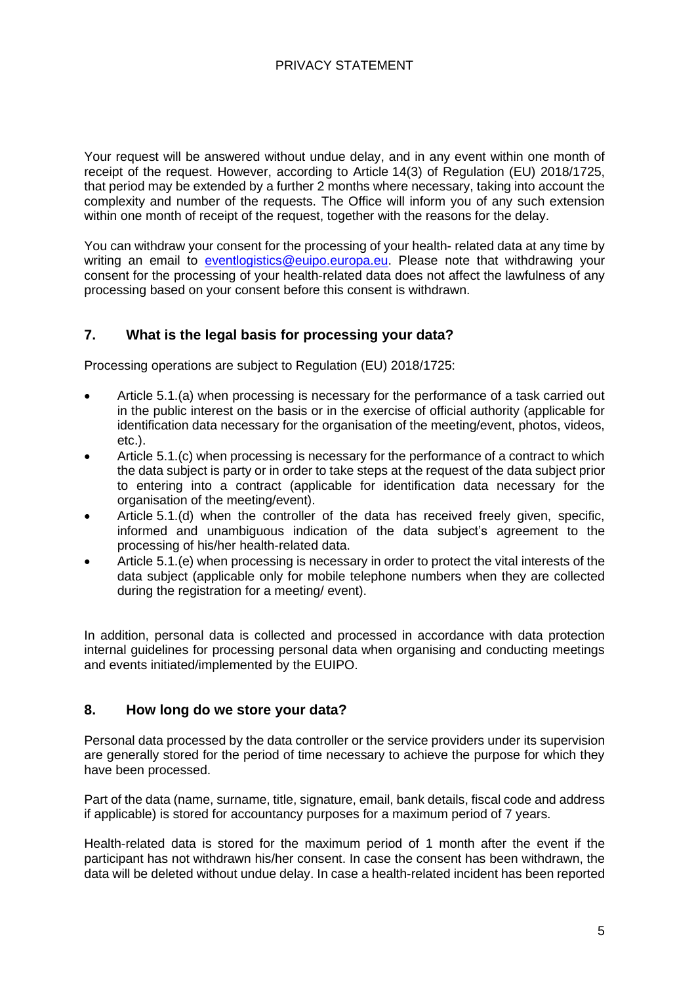# PRIVACY STATEMENT

Your request will be answered without undue delay, and in any event within one month of receipt of the request. However, according to Article 14(3) of Regulation (EU) 2018/1725, that period may be extended by a further 2 months where necessary, taking into account the complexity and number of the requests. The Office will inform you of any such extension within one month of receipt of the request, together with the reasons for the delay.

You can withdraw your consent for the processing of your health- related data at any time by writing an email to [eventlogistics@euipo.europa.eu.](mailto:eventlogistics@euipo.europa.eu) Please note that withdrawing your consent for the processing of your health-related data does not affect the lawfulness of any processing based on your consent before this consent is withdrawn.

# **7. What is the legal basis for processing your data?**

Processing operations are subject to Regulation (EU) 2018/1725:

- Article 5.1.(a) when processing is necessary for the performance of a task carried out in the public interest on the basis or in the exercise of official authority (applicable for identification data necessary for the organisation of the meeting/event, photos, videos, etc.).
- Article 5.1.(c) when processing is necessary for the performance of a contract to which the data subject is party or in order to take steps at the request of the data subject prior to entering into a contract (applicable for identification data necessary for the organisation of the meeting/event).
- Article 5.1.(d) when the controller of the data has received freely given, specific, informed and unambiguous indication of the data subject's agreement to the processing of his/her health-related data.
- Article 5.1.(e) when processing is necessary in order to protect the vital interests of the data subject (applicable only for mobile telephone numbers when they are collected during the registration for a meeting/ event).

In addition, personal data is collected and processed in accordance with data protection internal guidelines for processing personal data when organising and conducting meetings and events initiated/implemented by the EUIPO.

## **8. How long do we store your data?**

Personal data processed by the data controller or the service providers under its supervision are generally stored for the period of time necessary to achieve the purpose for which they have been processed.

Part of the data (name, surname, title, signature, email, bank details, fiscal code and address if applicable) is stored for accountancy purposes for a maximum period of 7 years.

Health-related data is stored for the maximum period of 1 month after the event if the participant has not withdrawn his/her consent. In case the consent has been withdrawn, the data will be deleted without undue delay. In case a health-related incident has been reported